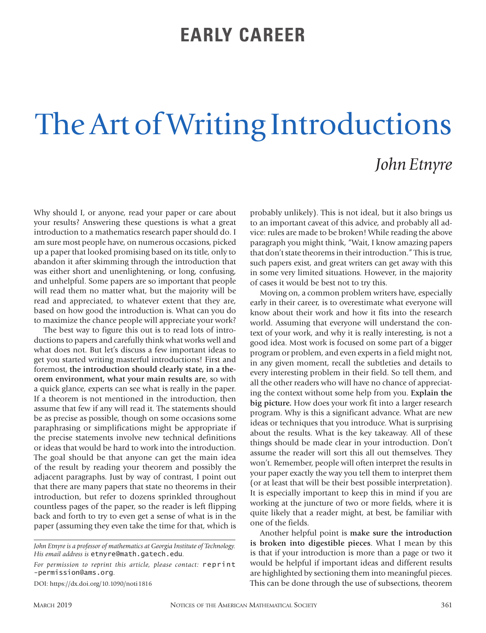## **EARLY CAREER**

## The Art of Writing Introductions *John Etnyre*

Why should I, or anyone, read your paper or care about your results? Answering these questions is what a great introduction to a mathematics research paper should do. I am sure most people have, on numerous occasions, picked up a paper that looked promising based on its title, only to abandon it after skimming through the introduction that was either short and unenlightening, or long, confusing, and unhelpful. Some papers are so important that people will read them no matter what, but the majority will be read and appreciated, to whatever extent that they are, based on how good the introduction is. What can you do to maximize the chance people will appreciate your work?

The best way to figure this out is to read lots of introductions to papers and carefully think what works well and what does not. But let's discuss a few important ideas to get you started writing masterful introductions! First and foremost, **the introduction should clearly state, in a theorem environment, what your main results are**, so with a quick glance, experts can see what is really in the paper. If a theorem is not mentioned in the introduction, then assume that few if any will read it. The statements should be as precise as possible, though on some occasions some paraphrasing or simplifications might be appropriate if the precise statements involve new technical definitions or ideas that would be hard to work into the introduction. The goal should be that anyone can get the main idea of the result by reading your theorem and possibly the adjacent paragraphs. Just by way of contrast, I point out that there are many papers that state no theorems in their introduction, but refer to dozens sprinkled throughout countless pages of the paper, so the reader is left flipping back and forth to try to even get a sense of what is in the paper (assuming they even take the time for that, which is

DOI: https://dx.doi.org/10.1090/noti1816

probably unlikely). This is not ideal, but it also brings us to an important caveat of this advice, and probably all advice: rules are made to be broken! While reading the above paragraph you might think, "Wait, I know amazing papers that don't state theorems in their introduction." This is true, such papers exist, and great writers can get away with this in some very limited situations. However, in the majority of cases it would be best not to try this.

Moving on, a common problem writers have, especially early in their career, is to overestimate what everyone will know about their work and how it fits into the research world. Assuming that everyone will understand the context of your work, and why it is really interesting, is not a good idea. Most work is focused on some part of a bigger program or problem, and even experts in a field might not, in any given moment, recall the subtleties and details to every interesting problem in their field. So tell them, and all the other readers who will have no chance of appreciating the context without some help from you. **Explain the big picture.** How does your work fit into a larger research program. Why is this a significant advance. What are new ideas or techniques that you introduce. What is surprising about the results. What is the key takeaway. All of these things should be made clear in your introduction. Don't assume the reader will sort this all out themselves. They won't. Remember, people will often interpret the results in your paper exactly the way you tell them to interpret them (or at least that will be their best possible interpretation). It is especially important to keep this in mind if you are working at the juncture of two or more fields, where it is quite likely that a reader might, at best, be familiar with one of the fields.

Another helpful point is **make sure the introduction is broken into digestible pieces**. What I mean by this is that if your introduction is more than a page or two it would be helpful if important ideas and different results are highlighted by sectioning them into meaningful pieces. This can be done through the use of subsections, theorem

*John Etnyre is a professor of mathematics at Georgia Institute of Technology. His email address is* etnyre@math.gatech.edu*.*

*For permission to reprint this article, please contact:* reprint -permission@ams.org.